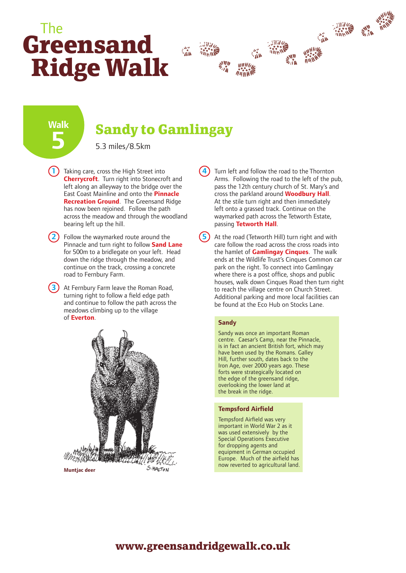# **Greensand Ridge Walk** The



**Walk 5**

## **Sandy to Gamlingay**

5.3 miles/8.5km

**1** Taking care, cross the High Street into **Cherrycroft**. Turn right into Stonecroft and left along an alleyway to the bridge over the East Coast Mainline and onto the **Pinnacle Recreation Ground**. The Greensand Ridge has now been rejoined. Follow the path across the meadow and through the woodland bearing left up the hill.

**2** Follow the waymarked route around the Pinnacle and turn right to follow **Sand Lane** for 500m to a bridlegate on your left. Head down the ridge through the meadow, and continue on the track, crossing a concrete road to Fernbury Farm.

**3** At Fernbury Farm leave the Roman Road, turning right to follow a field edge path and continue to follow the path across the meadows climbing up to the village of **Everton**.



**4** Turn left and follow the road to the Thornton Arms. Following the road to the left of the pub, pass the 12th century church of St. Mary's and cross the parkland around **Woodbury Hall**. At the stile turn right and then immediately left onto a grassed track. Continue on the waymarked path across the Tetworth Estate, passing **Tetworth Hall**.

At the road (Tetworth Hill) turn right and with care follow the road across the cross roads into the hamlet of **Gamlingay Cinques**. The walk ends at the Wildlife Trust's Cinques Common car park on the right. To connect into Gamlingay where there is a post office, shops and public houses, walk down Cinques Road then turn right to reach the village centre on Church Street. Additional parking and more local facilities can be found at the Eco Hub on Stocks Lane.

#### **Sandy**

**5**

Sandy was once an important Roman centre. Caesar's Camp, near the Pinnacle, is in fact an ancient British fort, which may have been used by the Romans. Galley Hill, further south, dates back to the Iron Age, over 2000 years ago. These forts were strategically located on the edge of the greensand ridge, overlooking the lower land at the break in the ridge.

#### **Tempsford Airfield**

Tempsford Airfield was very important in World War 2 as it was used extensively by the Special Operations Executive for dropping agents and equipment in German occupied Europe. Much of the airfield has

### **www.greensandridgewalk.co.uk**